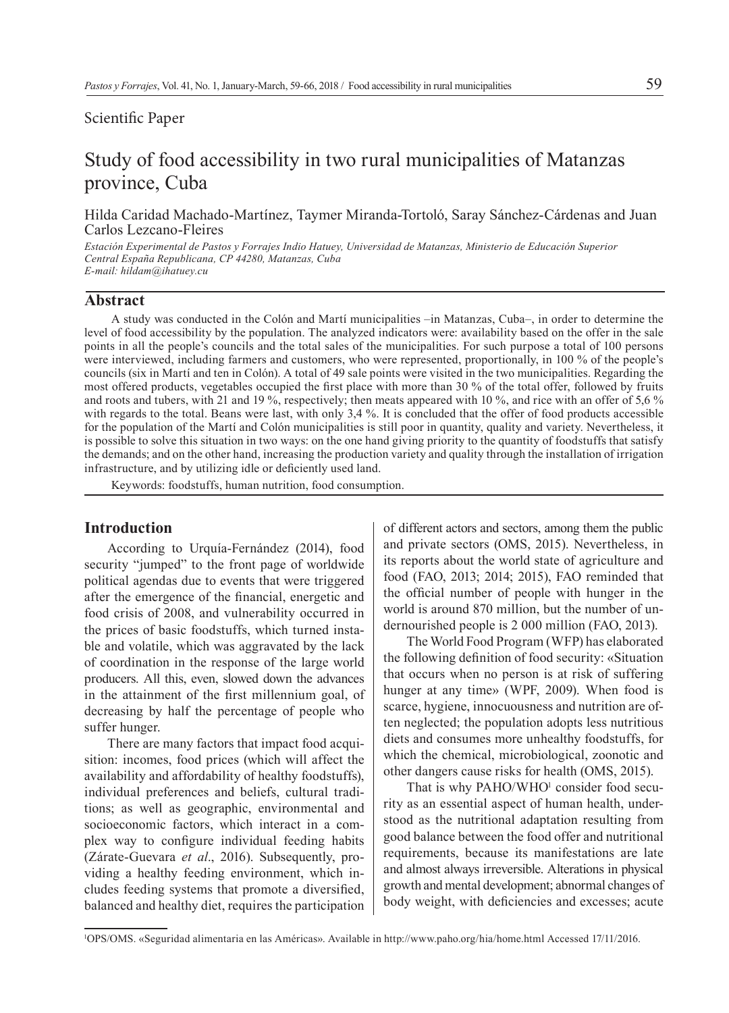## Scientific Paper

# Study of food accessibility in two rural municipalities of Matanzas province, Cuba

Hilda Caridad Machado-Martínez, Taymer Miranda-Tortoló, Saray Sánchez-Cárdenas and Juan Carlos Lezcano-Fleires

*Estación Experimental de Pastos y Forrajes Indio Hatuey, Universidad de Matanzas, Ministerio de Educación Superior Central España Republicana, CP 44280, Matanzas, Cuba E-mail: hildam@ihatuey.cu*

#### **Abstract**

A study was conducted in the Colón and Martí municipalities –in Matanzas, Cuba–, in order to determine the level of food accessibility by the population. The analyzed indicators were: availability based on the offer in the sale points in all the people's councils and the total sales of the municipalities. For such purpose a total of 100 persons were interviewed, including farmers and customers, who were represented, proportionally, in 100 % of the people's councils (six in Martí and ten in Colón). A total of 49 sale points were visited in the two municipalities. Regarding the most offered products, vegetables occupied the first place with more than 30 % of the total offer, followed by fruits and roots and tubers, with 21 and 19 %, respectively; then meats appeared with 10 %, and rice with an offer of 5,6 % with regards to the total. Beans were last, with only 3,4 %. It is concluded that the offer of food products accessible for the population of the Martí and Colón municipalities is still poor in quantity, quality and variety. Nevertheless, it is possible to solve this situation in two ways: on the one hand giving priority to the quantity of foodstuffs that satisfy the demands; and on the other hand, increasing the production variety and quality through the installation of irrigation infrastructure, and by utilizing idle or deficiently used land.

Keywords: foodstuffs, human nutrition, food consumption.

# **Introduction**

According to Urquía-Fernández (2014), food security "jumped" to the front page of worldwide political agendas due to events that were triggered after the emergence of the financial, energetic and food crisis of 2008, and vulnerability occurred in the prices of basic foodstuffs, which turned instable and volatile, which was aggravated by the lack of coordination in the response of the large world producers. All this, even, slowed down the advances in the attainment of the first millennium goal, of decreasing by half the percentage of people who suffer hunger.

There are many factors that impact food acquisition: incomes, food prices (which will affect the availability and affordability of healthy foodstuffs), individual preferences and beliefs, cultural traditions; as well as geographic, environmental and socioeconomic factors, which interact in a complex way to configure individual feeding habits (Zárate-Guevara *et al*., 2016). Subsequently, providing a healthy feeding environment, which includes feeding systems that promote a diversified, balanced and healthy diet, requires the participation of different actors and sectors, among them the public and private sectors (OMS, 2015). Nevertheless, in its reports about the world state of agriculture and food (FAO, 2013; 2014; 2015), FAO reminded that the official number of people with hunger in the world is around 870 million, but the number of undernourished people is 2 000 million (FAO, 2013).

The World Food Program (WFP) has elaborated the following definition of food security: «Situation that occurs when no person is at risk of suffering hunger at any time» (WPF, 2009). When food is scarce, hygiene, innocuousness and nutrition are often neglected; the population adopts less nutritious diets and consumes more unhealthy foodstuffs, for which the chemical, microbiological, zoonotic and other dangers cause risks for health (OMS, 2015).

That is why PAHO/WHO<sup>1</sup> consider food security as an essential aspect of human health, understood as the nutritional adaptation resulting from good balance between the food offer and nutritional requirements, because its manifestations are late and almost always irreversible. Alterations in physical growth and mental development; abnormal changes of body weight, with deficiencies and excesses; acute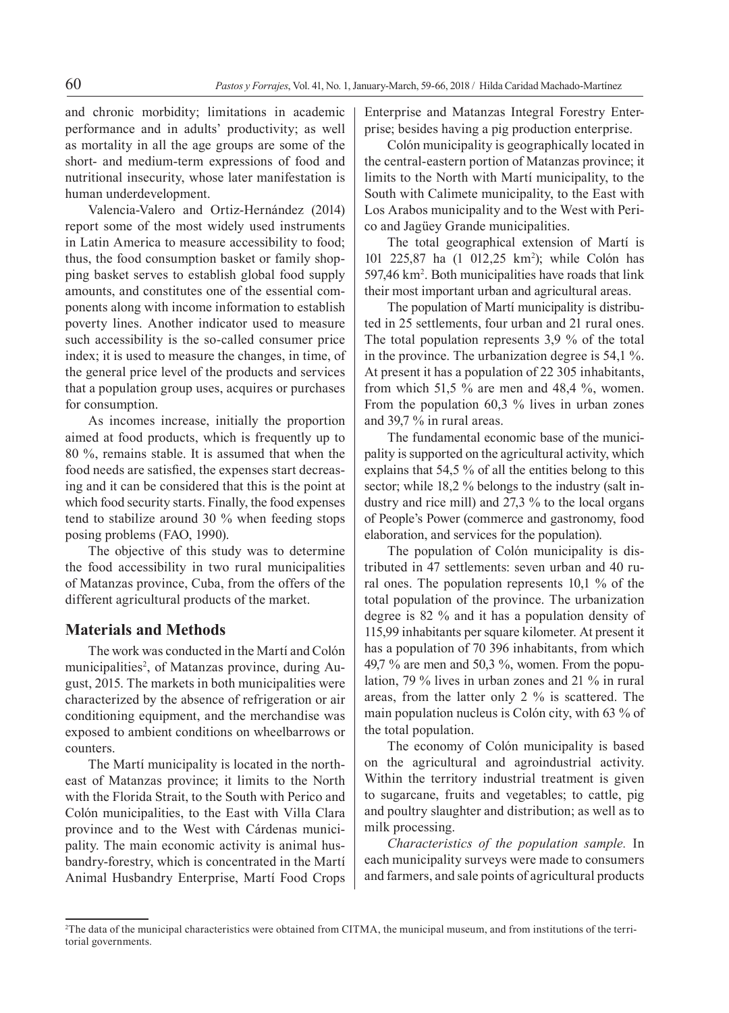and chronic morbidity; limitations in academic performance and in adults' productivity; as well as mortality in all the age groups are some of the short- and medium-term expressions of food and nutritional insecurity, whose later manifestation is human underdevelopment.

Valencia-Valero and Ortiz-Hernández (2014) report some of the most widely used instruments in Latin America to measure accessibility to food; thus, the food consumption basket or family shopping basket serves to establish global food supply amounts, and constitutes one of the essential components along with income information to establish poverty lines. Another indicator used to measure such accessibility is the so-called consumer price index; it is used to measure the changes, in time, of the general price level of the products and services that a population group uses, acquires or purchases for consumption.

As incomes increase, initially the proportion aimed at food products, which is frequently up to 80 %, remains stable. It is assumed that when the food needs are satisfied, the expenses start decreasing and it can be considered that this is the point at which food security starts. Finally, the food expenses tend to stabilize around 30 % when feeding stops posing problems (FAO, 1990).

The objective of this study was to determine the food accessibility in two rural municipalities of Matanzas province, Cuba, from the offers of the different agricultural products of the market.

# **Materials and Methods**

The work was conducted in the Martí and Colón municipalities<sup>2</sup>, of Matanzas province, during August, 2015. The markets in both municipalities were characterized by the absence of refrigeration or air conditioning equipment, and the merchandise was exposed to ambient conditions on wheelbarrows or counters.

The Martí municipality is located in the northeast of Matanzas province; it limits to the North with the Florida Strait, to the South with Perico and Colón municipalities, to the East with Villa Clara province and to the West with Cárdenas municipality. The main economic activity is animal husbandry-forestry, which is concentrated in the Martí Animal Husbandry Enterprise, Martí Food Crops

Enterprise and Matanzas Integral Forestry Enterprise; besides having a pig production enterprise.

Colón municipality is geographically located in the central-eastern portion of Matanzas province; it limits to the North with Martí municipality, to the South with Calimete municipality, to the East with Los Arabos municipality and to the West with Perico and Jagüey Grande municipalities.

The total geographical extension of Martí is 101 225,87 ha (1 012,25 km2 ); while Colón has 597,46 km2 . Both municipalities have roads that link their most important urban and agricultural areas.

The population of Martí municipality is distributed in 25 settlements, four urban and 21 rural ones. The total population represents 3,9 % of the total in the province. The urbanization degree is 54,1 %. At present it has a population of 22 305 inhabitants, from which 51,5 % are men and 48,4 %, women. From the population 60,3 % lives in urban zones and 39,7 % in rural areas.

The fundamental economic base of the municipality is supported on the agricultural activity, which explains that 54,5 % of all the entities belong to this sector; while 18,2 % belongs to the industry (salt industry and rice mill) and 27,3 % to the local organs of People's Power (commerce and gastronomy, food elaboration, and services for the population).

The population of Colón municipality is distributed in 47 settlements: seven urban and 40 rural ones. The population represents 10,1 % of the total population of the province. The urbanization degree is 82 % and it has a population density of 115,99 inhabitants per square kilometer. At present it has a population of 70 396 inhabitants, from which 49,7  $\%$  are men and 50,3  $\%$ , women. From the population, 79 % lives in urban zones and 21 % in rural areas, from the latter only 2 % is scattered. The main population nucleus is Colón city, with 63 % of the total population.

The economy of Colón municipality is based on the agricultural and agroindustrial activity. Within the territory industrial treatment is given to sugarcane, fruits and vegetables; to cattle, pig and poultry slaughter and distribution; as well as to milk processing.

*Characteristics of the population sample.* In each municipality surveys were made to consumers and farmers, and sale points of agricultural products

<sup>2</sup> The data of the municipal characteristics were obtained from CITMA, the municipal museum, and from institutions of the territorial governments.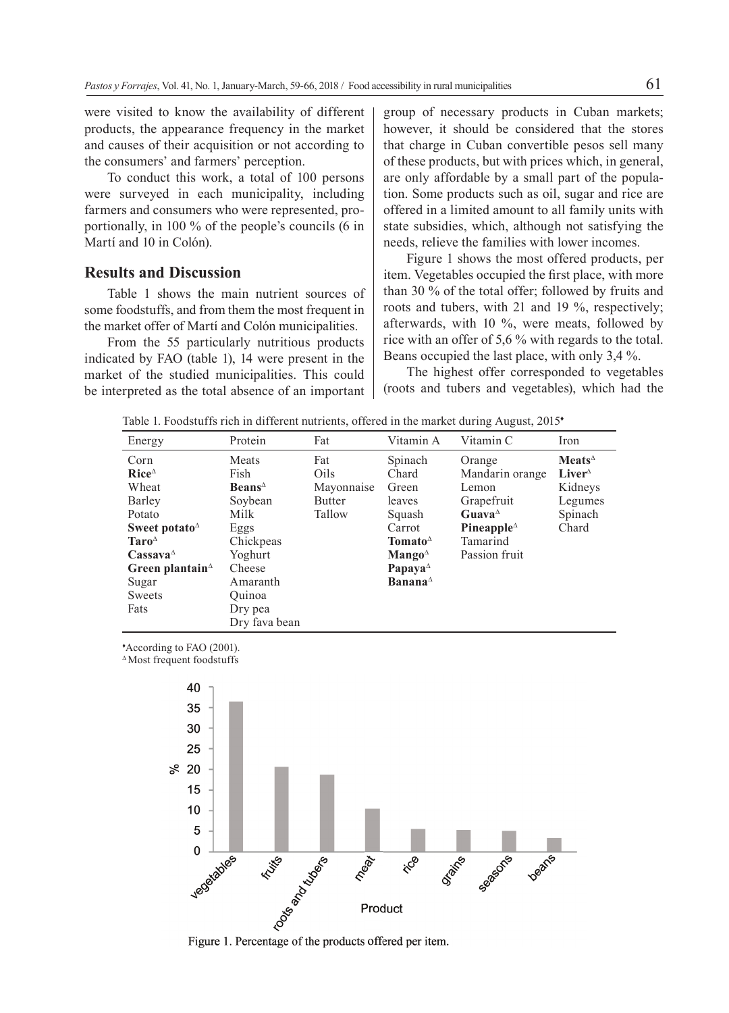were visited to know the availability of different products, the appearance frequency in the market and causes of their acquisition or not according to the consumers' and farmers' perception.

To conduct this work, a total of 100 persons were surveyed in each municipality, including farmers and consumers who were represented, proportionally, in 100 % of the people's councils (6 in Martí and 10 in Colón).

### **Results and Discussion**

Table 1 shows the main nutrient sources of some foodstuffs, and from them the most frequent in the market offer of Martí and Colón municipalities.

From the 55 particularly nutritious products indicated by FAO (table 1), 14 were present in the market of the studied municipalities. This could be interpreted as the total absence of an important group of necessary products in Cuban markets; however, it should be considered that the stores that charge in Cuban convertible pesos sell many of these products, but with prices which, in general, are only affordable by a small part of the population. Some products such as oil, sugar and rice are offered in a limited amount to all family units with state subsidies, which, although not satisfying the needs, relieve the families with lower incomes.

Figure 1 shows the most offered products, per item. Vegetables occupied the first place, with more than 30 % of the total offer; followed by fruits and roots and tubers, with 21 and 19 %, respectively; afterwards, with 10 %, were meats, followed by rice with an offer of 5,6 % with regards to the total. Beans occupied the last place, with only 3,4 %.

The highest offer corresponded to vegetables (roots and tubers and vegetables), which had the

Table 1. Foodstuffs rich in different nutrients, offered in the market during August, 2015<sup>\*</sup>

| Energy                                                                                                                                                                                                         | Protein                                                                                                                                               | Fat                                                  | Vitamin A                                                                                                                                                                                                                           | Vitamin C                                                                                                                                         | Iron                                                                                    |
|----------------------------------------------------------------------------------------------------------------------------------------------------------------------------------------------------------------|-------------------------------------------------------------------------------------------------------------------------------------------------------|------------------------------------------------------|-------------------------------------------------------------------------------------------------------------------------------------------------------------------------------------------------------------------------------------|---------------------------------------------------------------------------------------------------------------------------------------------------|-----------------------------------------------------------------------------------------|
| Corn<br>$Rice^{\Delta}$<br>Wheat<br>Barley<br>Potato<br>Sweet potato $\Delta$<br>$Taro^{\Delta}$<br>$\mathbf{C}$ assava $^{\scriptscriptstyle\Delta}$<br>Green plantain $\triangle$<br>Sugar<br>Sweets<br>Fats | Meats<br>Fish<br>$\bf{Beans}^{\Delta}$<br>Soybean<br>Milk<br>Eggs<br>Chickpeas<br>Yoghurt<br>Cheese<br>Amaranth<br>Ouinoa<br>Dry pea<br>Dry fava bean | Fat<br>Oils<br>Mayonnaise<br><b>Butter</b><br>Tallow | Spinach<br>Chard<br>Green<br>leaves<br>Squash<br>Carrot<br>Tomato $^{\Delta}$<br>$\mathbf{M}$ ango <sup><math>\triangle</math></sup><br>Papaya <sup><math>\triangle</math></sup><br><b>Banana</b> <sup><math>\triangle</math></sup> | Orange<br>Mandarin orange<br>Lemon<br>Grapefruit<br>Guava <sup><math>\triangle</math></sup><br>Pineapple $^{\Delta}$<br>Tamarind<br>Passion fruit | $\mathbf{Meats}^{\Delta}$<br>$Liver^{\Delta}$<br>Kidneys<br>Legumes<br>Spinach<br>Chard |

♦ According to FAO (2001).

∆ Most frequent foodstuffs



Figure 1. Percentage of the products offered per item.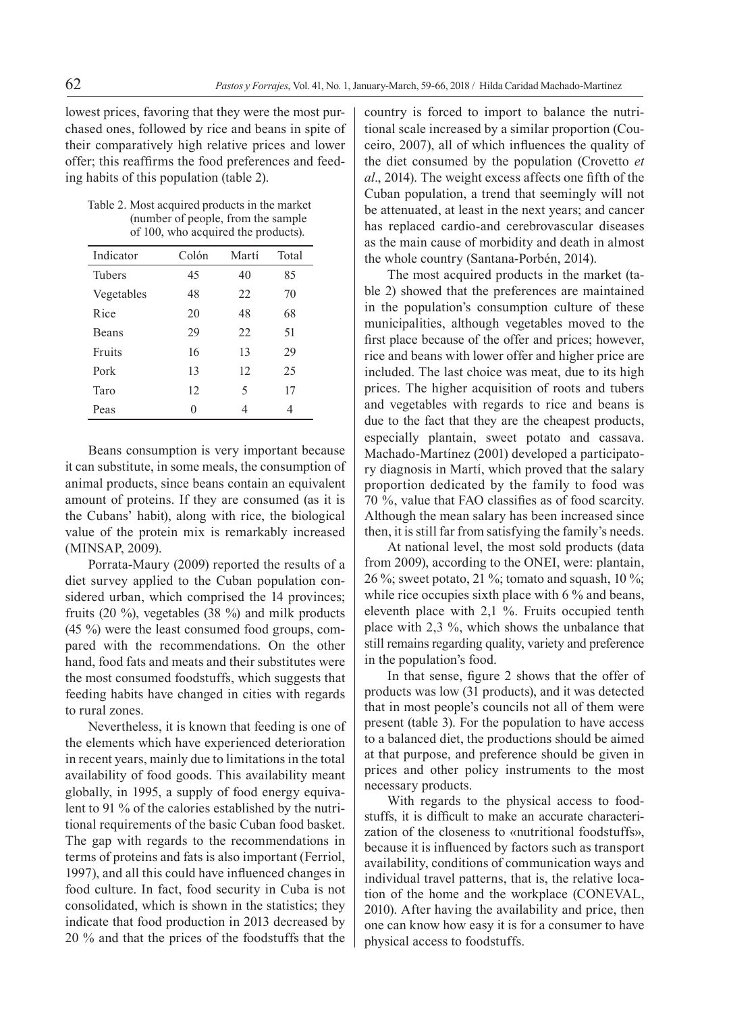lowest prices, favoring that they were the most purchased ones, followed by rice and beans in spite of their comparatively high relative prices and lower offer; this reaffirms the food preferences and feeding habits of this population (table 2).

Table 2. Most acquired products in the market (number of people, from the sample of 100, who acquired the products).

| Indicator     | Colón | Martí | Total |
|---------------|-------|-------|-------|
| <b>Tubers</b> | 45    | 40    | 85    |
| Vegetables    | 48    | 22.   | 70    |
| Rice          | 20    | 48    | 68    |
| <b>Beans</b>  | 29    | 22.   | 51    |
| Fruits        | 16    | 13    | 29    |
| Pork          | 13    | 12    | 25    |
| Taro          | 12    | 5     | 17    |
| Peas          | 0     | 4     | 4     |

Beans consumption is very important because it can substitute, in some meals, the consumption of animal products, since beans contain an equivalent amount of proteins. If they are consumed (as it is the Cubans' habit), along with rice, the biological value of the protein mix is remarkably increased (MINSAP, 2009).

Porrata-Maury (2009) reported the results of a diet survey applied to the Cuban population considered urban, which comprised the 14 provinces; fruits (20 %), vegetables (38 %) and milk products (45 %) were the least consumed food groups, compared with the recommendations. On the other hand, food fats and meats and their substitutes were the most consumed foodstuffs, which suggests that feeding habits have changed in cities with regards to rural zones.

Nevertheless, it is known that feeding is one of the elements which have experienced deterioration in recent years, mainly due to limitations in the total availability of food goods. This availability meant globally, in 1995, a supply of food energy equivalent to 91 % of the calories established by the nutritional requirements of the basic Cuban food basket. The gap with regards to the recommendations in terms of proteins and fats is also important (Ferriol, 1997), and all this could have influenced changes in food culture. In fact, food security in Cuba is not consolidated, which is shown in the statistics; they indicate that food production in 2013 decreased by 20 % and that the prices of the foodstuffs that the

country is forced to import to balance the nutritional scale increased by a similar proportion (Couceiro, 2007), all of which influences the quality of the diet consumed by the population (Crovetto *et al*., 2014). The weight excess affects one fifth of the Cuban population, a trend that seemingly will not be attenuated, at least in the next years; and cancer has replaced cardio-and cerebrovascular diseases as the main cause of morbidity and death in almost the whole country (Santana-Porbén, 2014).

The most acquired products in the market (table 2) showed that the preferences are maintained in the population's consumption culture of these municipalities, although vegetables moved to the first place because of the offer and prices; however, rice and beans with lower offer and higher price are included. The last choice was meat, due to its high prices. The higher acquisition of roots and tubers and vegetables with regards to rice and beans is due to the fact that they are the cheapest products, especially plantain, sweet potato and cassava. Machado-Martínez (2001) developed a participatory diagnosis in Martí, which proved that the salary proportion dedicated by the family to food was 70 %, value that FAO classifies as of food scarcity. Although the mean salary has been increased since then, it is still far from satisfying the family's needs.

At national level, the most sold products (data from 2009), according to the ONEI, were: plantain, 26 %; sweet potato, 21 %; tomato and squash, 10 %; while rice occupies sixth place with 6 % and beans, eleventh place with 2,1 %. Fruits occupied tenth place with 2,3 %, which shows the unbalance that still remains regarding quality, variety and preference in the population's food.

In that sense, figure 2 shows that the offer of products was low (31 products), and it was detected that in most people's councils not all of them were present (table 3). For the population to have access to a balanced diet, the productions should be aimed at that purpose, and preference should be given in prices and other policy instruments to the most necessary products.

With regards to the physical access to foodstuffs, it is difficult to make an accurate characterization of the closeness to «nutritional foodstuffs», because it is influenced by factors such as transport availability, conditions of communication ways and individual travel patterns, that is, the relative location of the home and the workplace (CONEVAL, 2010). After having the availability and price, then one can know how easy it is for a consumer to have physical access to foodstuffs.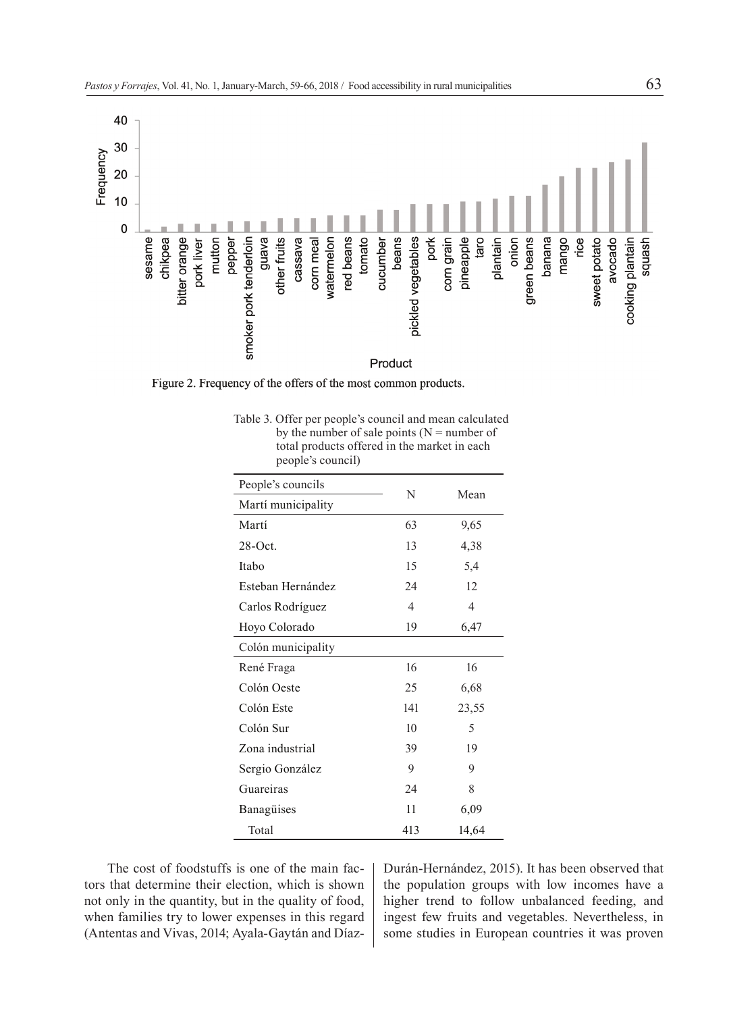

Figure 2. Frequency of the offers of the most common products.

| Table 3. Offer per people's council and mean calculated |
|---------------------------------------------------------|
| by the number of sale points ( $N =$ number of          |
| total products offered in the market in each            |
| people's council)                                       |

| People's councils  | N   | Mean  |  |
|--------------------|-----|-------|--|
| Martí municipality |     |       |  |
| Martí              | 63  | 9,65  |  |
| 28-Oct.            | 13  | 4,38  |  |
| Itabo              | 15  | 5,4   |  |
| Esteban Hernández  | 24  | 12    |  |
| Carlos Rodríguez   | 4   | 4     |  |
| Hoyo Colorado      | 19  | 6,47  |  |
| Colón municipality |     |       |  |
| René Fraga         | 16  | 16    |  |
| Colón Oeste        | 25  | 6,68  |  |
| Colón Este         | 141 | 23,55 |  |
| Colón Sur          | 10  | 5     |  |
| Zona industrial    | 39  | 19    |  |
| Sergio González    | 9   | 9     |  |
| Guareiras          | 24  | 8     |  |
| Banagüises         | 11  | 6,09  |  |
| Total              | 413 | 14,64 |  |

The cost of foodstuffs is one of the main factors that determine their election, which is shown not only in the quantity, but in the quality of food, when families try to lower expenses in this regard (Antentas and Vivas, 2014; Ayala-Gaytán and DíazDurán-Hernández, 2015). It has been observed that the population groups with low incomes have a higher trend to follow unbalanced feeding, and ingest few fruits and vegetables. Nevertheless, in some studies in European countries it was proven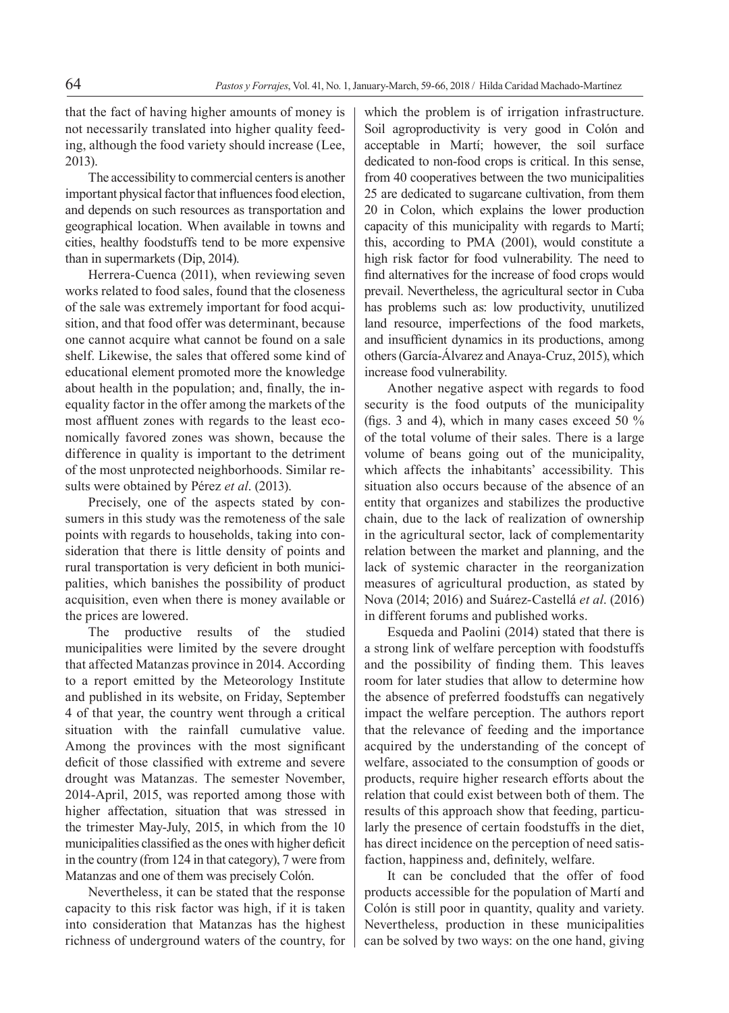that the fact of having higher amounts of money is not necessarily translated into higher quality feeding, although the food variety should increase (Lee, 2013).

The accessibility to commercial centers is another important physical factor that influences food election, and depends on such resources as transportation and geographical location. When available in towns and cities, healthy foodstuffs tend to be more expensive than in supermarkets (Dip, 2014).

Herrera-Cuenca (2011), when reviewing seven works related to food sales, found that the closeness of the sale was extremely important for food acquisition, and that food offer was determinant, because one cannot acquire what cannot be found on a sale shelf. Likewise, the sales that offered some kind of educational element promoted more the knowledge about health in the population; and, finally, the inequality factor in the offer among the markets of the most affluent zones with regards to the least economically favored zones was shown, because the difference in quality is important to the detriment of the most unprotected neighborhoods. Similar results were obtained by Pérez *et al*. (2013).

Precisely, one of the aspects stated by consumers in this study was the remoteness of the sale points with regards to households, taking into consideration that there is little density of points and rural transportation is very deficient in both municipalities, which banishes the possibility of product acquisition, even when there is money available or the prices are lowered.

The productive results of the studied municipalities were limited by the severe drought that affected Matanzas province in 2014. According to a report emitted by the Meteorology Institute and published in its website, on Friday, September 4 of that year, the country went through a critical situation with the rainfall cumulative value. Among the provinces with the most significant deficit of those classified with extreme and severe drought was Matanzas. The semester November, 2014-April, 2015, was reported among those with higher affectation, situation that was stressed in the trimester May-July, 2015, in which from the 10 municipalities classified as the ones with higher deficit in the country (from 124 in that category), 7 were from Matanzas and one of them was precisely Colón.

Nevertheless, it can be stated that the response capacity to this risk factor was high, if it is taken into consideration that Matanzas has the highest richness of underground waters of the country, for which the problem is of irrigation infrastructure. Soil agroproductivity is very good in Colón and acceptable in Martí; however, the soil surface dedicated to non-food crops is critical. In this sense, from 40 cooperatives between the two municipalities 25 are dedicated to sugarcane cultivation, from them 20 in Colon, which explains the lower production capacity of this municipality with regards to Martí; this, according to PMA (2001), would constitute a high risk factor for food vulnerability. The need to find alternatives for the increase of food crops would prevail. Nevertheless, the agricultural sector in Cuba has problems such as: low productivity, unutilized land resource, imperfections of the food markets, and insufficient dynamics in its productions, among others (García-Álvarez and Anaya-Cruz, 2015), which increase food vulnerability.

Another negative aspect with regards to food security is the food outputs of the municipality (figs. 3 and 4), which in many cases exceed 50 % of the total volume of their sales. There is a large volume of beans going out of the municipality, which affects the inhabitants' accessibility. This situation also occurs because of the absence of an entity that organizes and stabilizes the productive chain, due to the lack of realization of ownership in the agricultural sector, lack of complementarity relation between the market and planning, and the lack of systemic character in the reorganization measures of agricultural production, as stated by Nova (2014; 2016) and Suárez-Castellá *et al*. (2016) in different forums and published works.

Esqueda and Paolini (2014) stated that there is a strong link of welfare perception with foodstuffs and the possibility of finding them. This leaves room for later studies that allow to determine how the absence of preferred foodstuffs can negatively impact the welfare perception. The authors report that the relevance of feeding and the importance acquired by the understanding of the concept of welfare, associated to the consumption of goods or products, require higher research efforts about the relation that could exist between both of them. The results of this approach show that feeding, particularly the presence of certain foodstuffs in the diet, has direct incidence on the perception of need satisfaction, happiness and, definitely, welfare.

It can be concluded that the offer of food products accessible for the population of Martí and Colón is still poor in quantity, quality and variety. Nevertheless, production in these municipalities can be solved by two ways: on the one hand, giving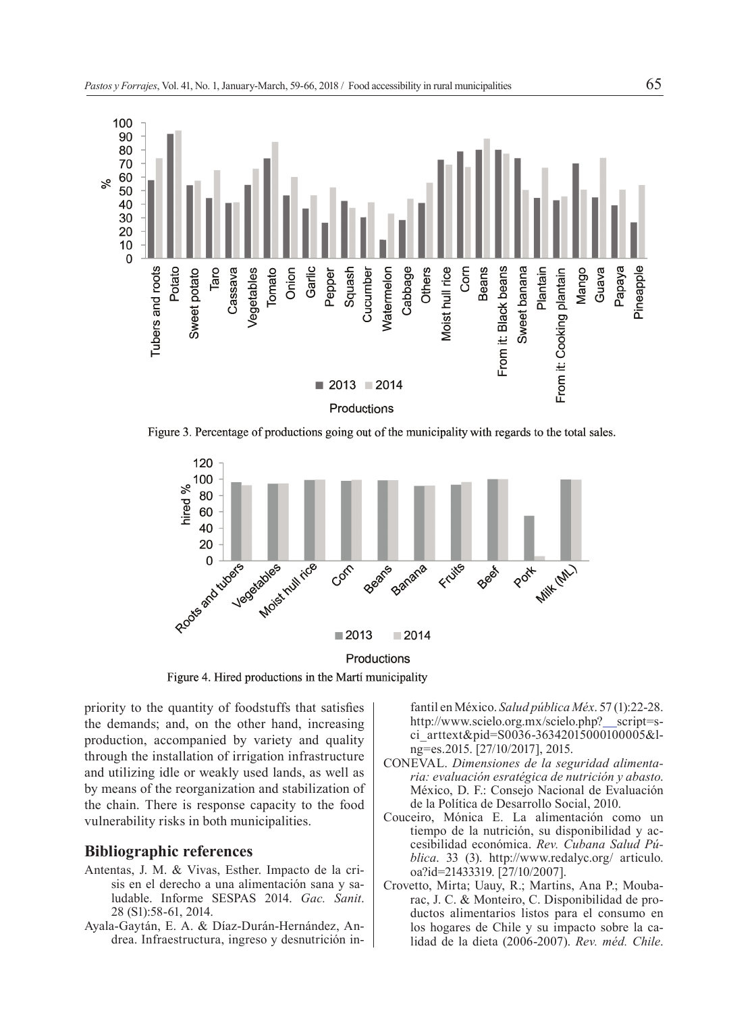

Figure 3. Percentage of productions going out of the municipality with regards to the total sales.



Figure 4. Hired productions in the Martí municipality

priority to the quantity of foodstuffs that satisfies the demands; and, on the other hand, increasing production, accompanied by variety and quality through the installation of irrigation infrastructure and utilizing idle or weakly used lands, as well as by means of the reorganization and stabilization of the chain. There is response capacity to the food vulnerability risks in both municipalities.

#### **Bibliographic references**

- Antentas, J. M. & Vivas, Esther. Impacto de la crisis en el derecho a una alimentación sana y saludable. Informe SESPAS 2014. *Gac. Sanit*. 28 (S1):58-61, 2014.
- Ayala-Gaytán, E. A. & Díaz-Durán-Hernández, Andrea. Infraestructura, ingreso y desnutrición in-

fantil en México. *Salud pública Méx*. 57 (1):22-28. http://www.scielo.org.mx/scielo.php?\_script=sci\_arttext&pid=S0036-36342015000100005&lng=es.2015. [27/10/2017], 2015.

- CONEVAL. *Dimensiones de la seguridad alimentaria: evaluación esratégica de nutrición y abasto*. México, D. F.: Consejo Nacional de Evaluación de la Política de Desarrollo Social, 2010.
- Couceiro, Mónica E. La alimentación como un tiempo de la nutrición, su disponibilidad y accesibilidad económica. *Rev. Cubana Salud Pública*. 33 (3). http://www.redalyc.org/ articulo. oa?id=21433319. [27/10/2007].
- Crovetto, Mirta; Uauy, R.; Martins, Ana P.; Moubarac, J. C. & Monteiro, C. Disponibilidad de productos alimentarios listos para el consumo en los hogares de Chile y su impacto sobre la calidad de la dieta (2006-2007). *Rev. méd. Chile*.